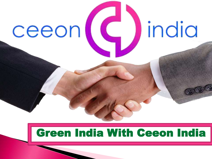

## Green India With Ceeon India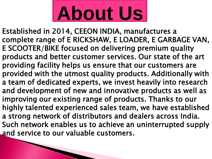# **About Us**

Established in 2014, CEEON INDIA, manufactures a complete range of E RICKSHAW, E LOADER, E GARBAGE VAN, E SCOOTER/BIKE focused on delivering premium quality products and better customer services. Our state of the art providing facility helps us ensure that our customers are provided with the utmost quality products. Additionally with a team of dedicated experts, we invest heavily into research and development of new and innovative products as well as improving our existing range of products. Thanks to our highly talented experienced sales team, we have established a strong network of distributors and dealers across India. Such network enables us to achieve an uninterrupted supply and service to our valuable customers.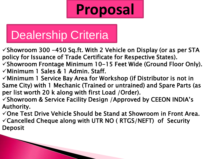## **Proposal**

## Dealership Criteria

 $\checkmark$ Showroom 300 -450 Sq.ft. With 2 Vehicle on Display (or as per STA policy for Issuance of Trade Certificate for Respective States).

 $\checkmark$ Showroom Frontage Minimum 10-15 Feet Wide (Ground Floor Only).  $\checkmark$ Minimum 1 Sales & 1 Admin. Staff.

 $\checkmark$  Minimum 1 Service Bay Area for Workshop (if Distributor is not in Same City) with 1 Mechanic (Trained or untrained) and Spare Parts (as per list worth 20 k along with first Load /Order).

 $\checkmark$ Showroom & Service Facility Design /Approved by CEEON INDIA's Authority.

 $\checkmark$ One Test Drive Vehicle Should be Stand at Showroom in Front Area.  $\checkmark$  Cancelled Cheque along with UTR NO (RTGS/NEFT) of Security Deposit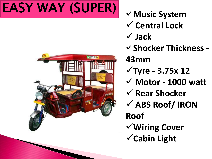## **EASY WAY (SUPER)**  $\checkmark$  Music System



 **Central Lock Jack Shocker Thickness - 43mm Tyre - 3.75x 12 Motor - 1000 watt Rear Shocker ABS Roof/ IRON Roof Wiring Cover Cabin Light**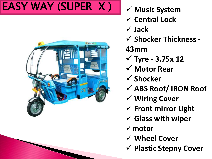## EASY WAY (SUPER-X)  $\mathbf{M}$   $\mathbf{M}$  Music System



- 
- **Central Lock**
- **Jack**
- **Shocker Thickness -**

**43mm**

- **Tyre - 3.75x 12**
- **Motor Rear**
- **Shocker**
- **ABS Roof/ IRON Roof**
- **Wiring Cover**
- **Front mirror Light**
- **Glass with wiper**
- **motor**
- **Wheel Cover**
- **Plastic Stepny Cover**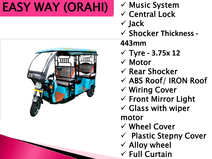## EASY WAY (ORAHI) V Music System



- 
- $\checkmark$  Central Lock
- $\checkmark$  Jack
- Shocker **Thickness -**

#### **443mm**

- Tyre **- 3.75x 12**
- $\checkmark$  Motor
- $\checkmark$  Rear Shocker
- $\checkmark$  ABS Roof/ IRON Roof
- Wiring Cover
- $\checkmark$  Front Mirror Light
- $\checkmark$  Glass with wiper motor
- Wheel Cover
- $\checkmark$  Plastic Stepny Cover
- $\checkmark$  Alloy wheel
- $\checkmark$  Full Curtain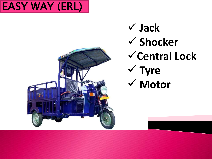



 **Jack Shocker Central Lock Tyre Motor**